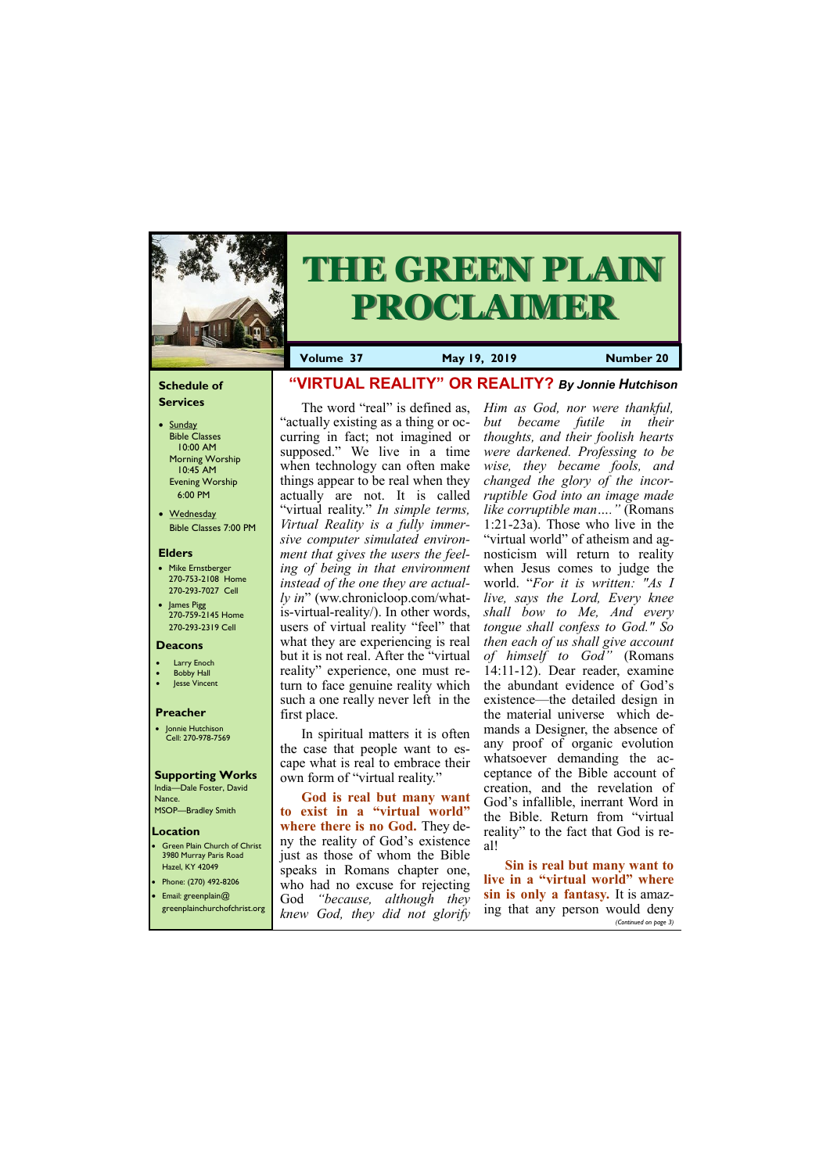#### **Schedule of Services**

- Sunday Bible Classes 10:00 AM Morning Worship 10:45 AM Evening Worship 6:00 PM
- Wednesday Bible Classes 7:00 PM

#### **Elders**

Green Plain Church of Christ 3980 Murray Paris Road Hazel, KY 42049 • Phone: (270) 492-8206

- Mike Ernstberger 270-753-2108 Home 270-293-7027 Cell
- James Pigg 270-759-2145 Home 270-293-2319 Cell

#### **Location**



# **THE GREEN PLAIN PROCLAIMER**

**Volume 37 May 19, 2019 Number 20**

#### **Deacons**

- **Larry Enoch**
- **Bobby Hall**
- **Jesse Vincent**

#### **Preacher**

• Jonnie Hutchison Cell: 270-978-7569

## **Supporting Works**

India—Dale Foster, David Nance. MSOP—Bradley Smith

# **"VIRTUAL REALITY" OR REALITY?** *By Jonnie Hutchison*

The word "real" is defined as, "actually existing as a thing or occurring in fact; not imagined or supposed." We live in a time when technology can often make things appear to be real when they actually are not. It is called "virtual reality." *In simple terms, Virtual Reality is a fully immersive computer simulated environment that gives the users the feeling of being in that environment instead of the one they are actually in*" (ww.chronicloop.com/whatis-virtual-reality/). In other words, users of virtual reality "feel" that what they are experiencing is real but it is not real. After the "virtual reality" experience, one must return to face genuine reality which such a one really never left in the first place.

**God is real but many want to exist in a "virtual world" where there is no God.** They deny the reality of God's existence just as those of whom the Bible speaks in Romans chapter one, who had no excuse for rejecting

In spiritual matters it is often the case that people want to escape what is real to embrace their own form of "virtual reality."

| Email: greenplain $@$ | WHO had no excuse for rejecting<br>God "because, although they | sin is only a fantasy. It is amaz-<br>$\begin{array}{ l l }\hline \text{greenplane} \text{hurchofchrist.org} & \text{knew God, they did not glorify} & \text{ing that any person would deny} \hline \end{array}$ |
|-----------------------|----------------------------------------------------------------|------------------------------------------------------------------------------------------------------------------------------------------------------------------------------------------------------------------|
|                       |                                                                | (Continued on page 3)                                                                                                                                                                                            |

*Him as God, nor were thankful, but became futile in their thoughts, and their foolish hearts were darkened. Professing to be wise, they became fools, and changed the glory of the incorruptible God into an image made like corruptible man…."* (Romans 1:21-23a). Those who live in the "virtual world" of atheism and agnosticism will return to reality when Jesus comes to judge the world. "*For it is written: "As I live, says the Lord, Every knee shall bow to Me, And every tongue shall confess to God." So then each of us shall give account of himself to God"* (Romans 14:11-12). Dear reader, examine the abundant evidence of God's existence—the detailed design in the material universe which demands a Designer, the absence of any proof of organic evolution whatsoever demanding the acceptance of the Bible account of creation, and the revelation of God's infallible, inerrant Word in the Bible. Return from "virtual reality" to the fact that God is real!

### **Sin is real but many want to live in a "virtual world" where**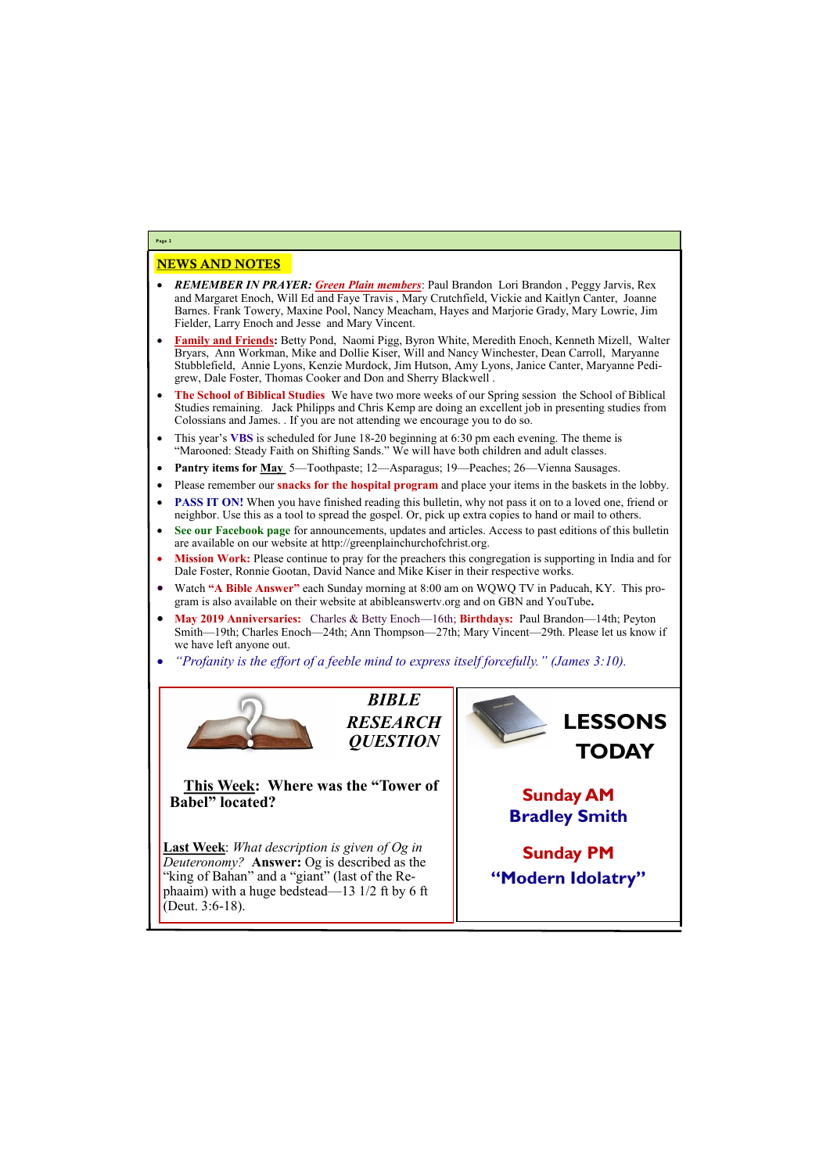# NEWS AND NOTES

- *REMEMBER IN PRAYER: Green Plain members*: Paul Brandon Lori Brandon , Peggy Jarvis, Rex and Margaret Enoch, Will Ed and Faye Travis , Mary Crutchfield, Vickie and Kaitlyn Canter, Joanne Barnes. Frank Towery, Maxine Pool, Nancy Meacham, Hayes and Marjorie Grady, Mary Lowrie, Jim Fielder, Larry Enoch and Jesse and Mary Vincent.
- **Family and Friends:** Betty Pond, Naomi Pigg, Byron White, Meredith Enoch, Kenneth Mizell, Walter Bryars, Ann Workman, Mike and Dollie Kiser, Will and Nancy Winchester, Dean Carroll, Maryanne Stubblefield, Annie Lyons, Kenzie Murdock, Jim Hutson, Amy Lyons, Janice Canter, Maryanne Pedigrew, Dale Foster, Thomas Cooker and Don and Sherry Blackwell .
- **The School of Biblical Studies** We have two more weeks of our Spring session the School of Biblical Studies remaining. Jack Philipps and Chris Kemp are doing an excellent job in presenting studies from Colossians and James. . If you are not attending we encourage you to do so.
- This year's **VBS** is scheduled for June 18-20 beginning at 6:30 pm each evening. The theme is "Marooned: Steady Faith on Shifting Sands." We will have both children and adult classes.
- **Pantry items for May** 5—Toothpaste; 12—Asparagus; 19—Peaches; 26—Vienna Sausages.
- Please remember our **snacks for the hospital program** and place your items in the baskets in the lobby.
- **PASS IT ON!** When you have finished reading this bulletin, why not pass it on to a loved one, friend or neighbor. Use this as a tool to spread the gospel. Or, pick up extra copies to hand or mail to others.
- **See our Facebook page** for announcements, updates and articles. Access to past editions of this bulletin are available on our website at http://greenplainchurchofchrist.org.
- **Mission Work:** Please continue to pray for the preachers this congregation is supporting in India and for Dale Foster, Ronnie Gootan, David Nance and Mike Kiser in their respective works.
- Watch **"A Bible Answer"** each Sunday morning at 8:00 am on WQWQ TV in Paducah, KY. This program is also available on their website at abibleanswertv.org and on GBN and YouTube**.**
- **May 2019 Anniversaries:** Charles & Betty Enoch—16th; **Birthdays:** Paul Brandon—14th; Peyton Smith—19th; Charles Enoch—24th; Ann Thompson—27th; Mary Vincent—29th. Please let us know if we have left anyone out.
- *"Profanity is the effort of a feeble mind to express itself forcefully." (James 3:10).*



**Page 2**

*BIBLE RESEARCH QUESTION*

**This Week: Where was the "Tower of Babel" located?**

**Last Week**: *What description is given of Og in Deuteronomy?* **Answer:** Og is described as the "king of Bahan" and a "giant" (last of the Re-

| phaaim) with a huge bedstead—13 $1/2$ ft by 6 ft |  |
|--------------------------------------------------|--|
| [Deut. $3:6-18$ ].                               |  |
|                                                  |  |

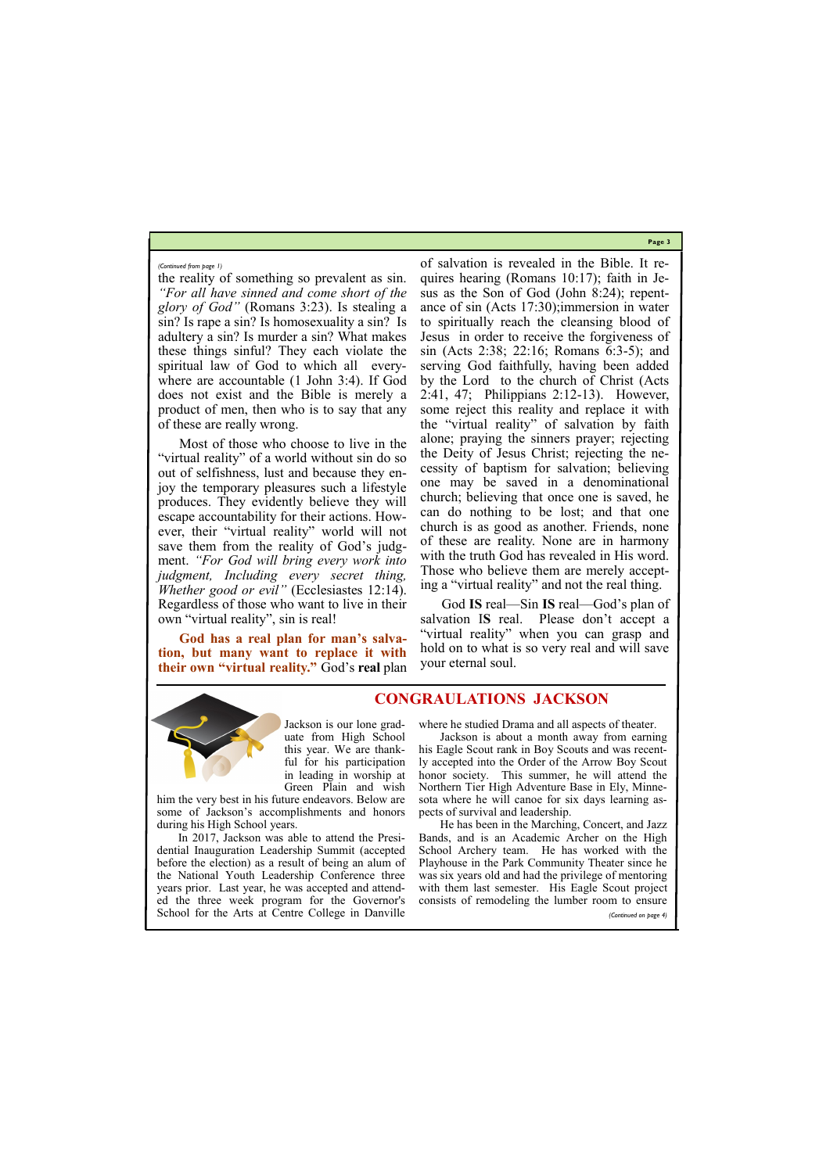**Page 3**

the reality of something so prevalent as sin. *"For all have sinned and come short of the glory of God"* (Romans 3:23). Is stealing a sin? Is rape a sin? Is homosexuality a sin? Is adultery a sin? Is murder a sin? What makes these things sinful? They each violate the spiritual law of God to which all everywhere are accountable (1 John 3:4). If God does not exist and the Bible is merely a product of men, then who is to say that any of these are really wrong.

Most of those who choose to live in the "virtual reality" of a world without sin do so out of selfishness, lust and because they enjoy the temporary pleasures such a lifestyle produces. They evidently believe they will escape accountability for their actions. However, their "virtual reality" world will not save them from the reality of God's judgment. *"For God will bring every work into judgment, Including every secret thing, Whether good or evil*<sup>"</sup> (Ecclesiastes 12:14). Regardless of those who want to live in their own "virtual reality", sin is real!

**God has a real plan for man's salvation, but many want to replace it with their own "virtual reality."** God's **real** plan of salvation is revealed in the Bible. It requires hearing (Romans 10:17); faith in Jesus as the Son of God (John 8:24); repentance of sin (Acts 17:30);immersion in water to spiritually reach the cleansing blood of Jesus in order to receive the forgiveness of sin (Acts 2:38; 22:16; Romans 6:3-5); and serving God faithfully, having been added by the Lord to the church of Christ (Acts 2:41, 47; Philippians 2:12-13). However, some reject this reality and replace it with the "virtual reality" of salvation by faith alone; praying the sinners prayer; rejecting the Deity of Jesus Christ; rejecting the necessity of baptism for salvation; believing one may be saved in a denominational church; believing that once one is saved, he can do nothing to be lost; and that one church is as good as another. Friends, none of these are reality. None are in harmony with the truth God has revealed in His word. Those who believe them are merely accepting a "virtual reality" and not the real thing.

God **IS** real—Sin **IS** real—God's plan of salvation I**S** real. Please don't accept a "virtual reality" when you can grasp and hold on to what is so very real and will save your eternal soul.



#### *(Continued from page 1)*

Jackson is our lone graduate from High School this year. We are thankful for his participation in leading in worship at Green Plain and wish

him the very best in his future endeavors. Below are some of Jackson's accomplishments and honors during his High School years.

where he studied Drama and all aspects of theater.

In 2017, Jackson was able to attend the Presidential Inauguration Leadership Summit (accepted before the election) as a result of being an alum of the National Youth Leadership Conference three years prior. Last year, he was accepted and attend-with them last semester. His Eagle Scout project ed the three week program for the Governor's consists of remodeling the lumber room to ensure School for the Arts at Centre College in Danville Bands, and is an Academic Archer on the High School Archery team. He has worked with the Playhouse in the Park Community Theater since he was six years old and had the privilege of mentoring *(Continued on page 4)*

Jackson is about a month away from earning his Eagle Scout rank in Boy Scouts and was recently accepted into the Order of the Arrow Boy Scout honor society. This summer, he will attend the Northern Tier High Adventure Base in Ely, Minnesota where he will canoe for six days learning aspects of survival and leadership.

He has been in the Marching, Concert, and Jazz

**CONGRAULATIONS JACKSON**